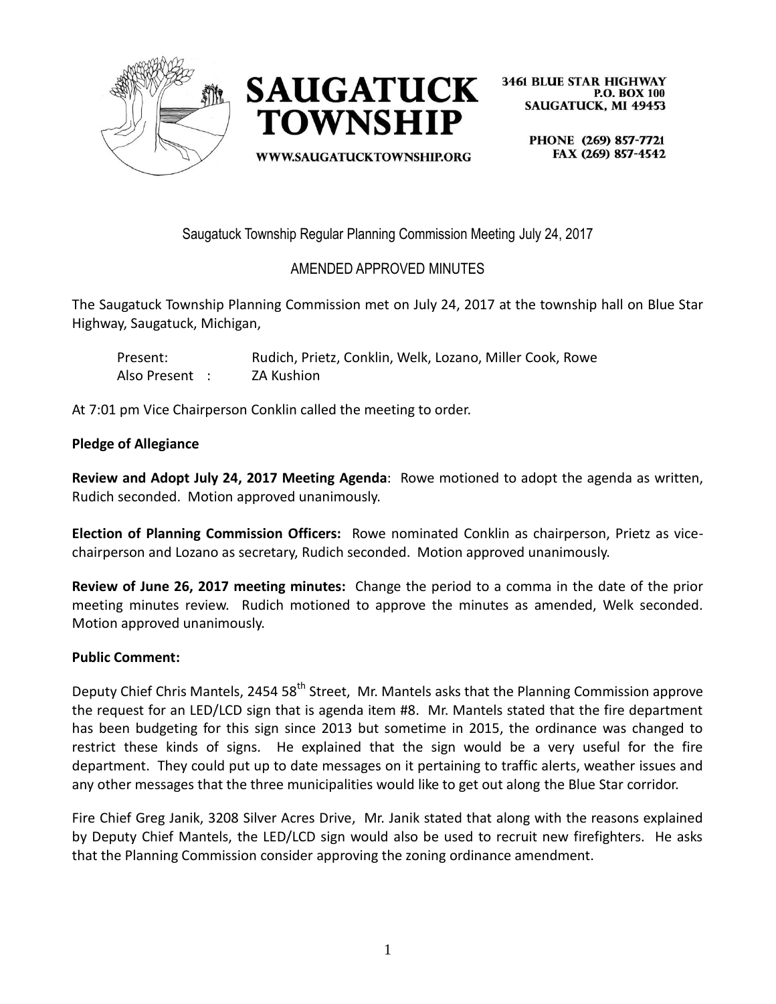



WWW.SAUGATUCKTOWNSHIP.ORG

**3461 BLUE STAR HIGHWAY P.O. BOX 100 SAUGATUCK, MI 49453** 

> PHONE (269) 857-7721 FAX (269) 857-4542

Saugatuck Township Regular Planning Commission Meeting July 24, 2017

# AMENDED APPROVED MINUTES

The Saugatuck Township Planning Commission met on July 24, 2017 at the township hall on Blue Star Highway, Saugatuck, Michigan,

| Present:       | Rudich, Prietz, Conklin, Welk, Lozano, Miller Cook, Rowe |
|----------------|----------------------------------------------------------|
| Also Present : | ZA Kushion                                               |

At 7:01 pm Vice Chairperson Conklin called the meeting to order.

#### **Pledge of Allegiance**

**Review and Adopt July 24, 2017 Meeting Agenda**: Rowe motioned to adopt the agenda as written, Rudich seconded. Motion approved unanimously.

**Election of Planning Commission Officers:** Rowe nominated Conklin as chairperson, Prietz as vicechairperson and Lozano as secretary, Rudich seconded. Motion approved unanimously.

**Review of June 26, 2017 meeting minutes:** Change the period to a comma in the date of the prior meeting minutes review. Rudich motioned to approve the minutes as amended, Welk seconded. Motion approved unanimously.

#### **Public Comment:**

Deputy Chief Chris Mantels, 2454 58<sup>th</sup> Street, Mr. Mantels asks that the Planning Commission approve the request for an LED/LCD sign that is agenda item #8. Mr. Mantels stated that the fire department has been budgeting for this sign since 2013 but sometime in 2015, the ordinance was changed to restrict these kinds of signs. He explained that the sign would be a very useful for the fire department. They could put up to date messages on it pertaining to traffic alerts, weather issues and any other messages that the three municipalities would like to get out along the Blue Star corridor.

Fire Chief Greg Janik, 3208 Silver Acres Drive, Mr. Janik stated that along with the reasons explained by Deputy Chief Mantels, the LED/LCD sign would also be used to recruit new firefighters. He asks that the Planning Commission consider approving the zoning ordinance amendment.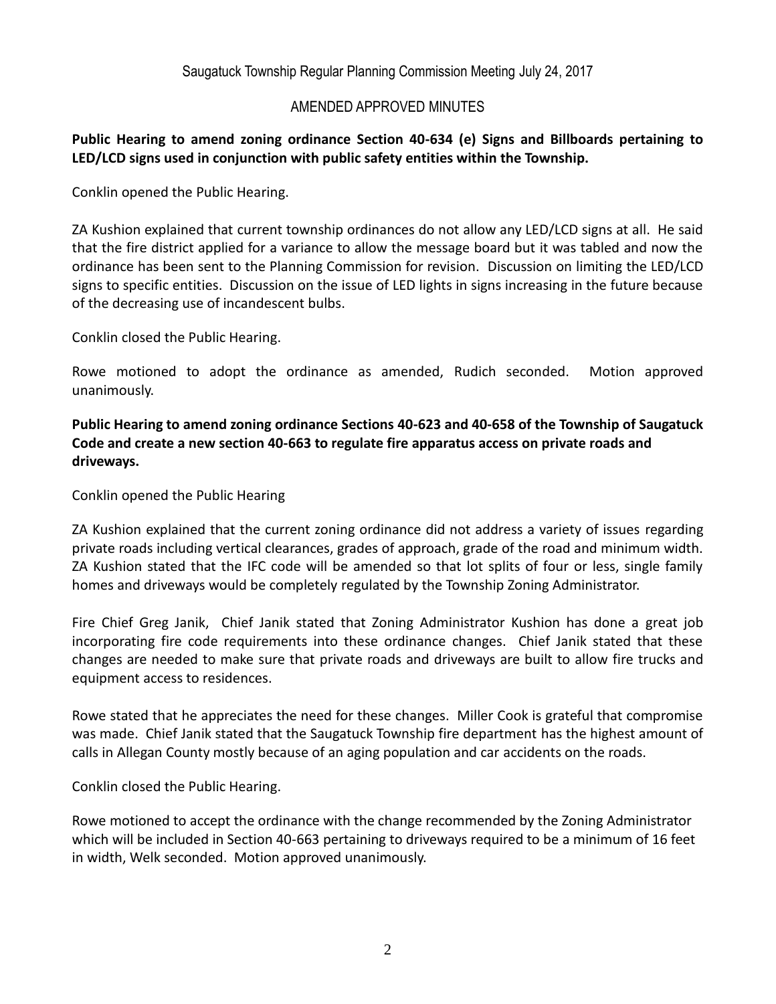## AMENDED APPROVED MINUTES

## **Public Hearing to amend zoning ordinance Section 40-634 (e) Signs and Billboards pertaining to LED/LCD signs used in conjunction with public safety entities within the Township.**

Conklin opened the Public Hearing.

ZA Kushion explained that current township ordinances do not allow any LED/LCD signs at all. He said that the fire district applied for a variance to allow the message board but it was tabled and now the ordinance has been sent to the Planning Commission for revision. Discussion on limiting the LED/LCD signs to specific entities. Discussion on the issue of LED lights in signs increasing in the future because of the decreasing use of incandescent bulbs.

Conklin closed the Public Hearing.

Rowe motioned to adopt the ordinance as amended, Rudich seconded. Motion approved unanimously.

**Public Hearing to amend zoning ordinance Sections 40-623 and 40-658 of the Township of Saugatuck Code and create a new section 40-663 to regulate fire apparatus access on private roads and driveways.**

Conklin opened the Public Hearing

ZA Kushion explained that the current zoning ordinance did not address a variety of issues regarding private roads including vertical clearances, grades of approach, grade of the road and minimum width. ZA Kushion stated that the IFC code will be amended so that lot splits of four or less, single family homes and driveways would be completely regulated by the Township Zoning Administrator.

Fire Chief Greg Janik, Chief Janik stated that Zoning Administrator Kushion has done a great job incorporating fire code requirements into these ordinance changes. Chief Janik stated that these changes are needed to make sure that private roads and driveways are built to allow fire trucks and equipment access to residences.

Rowe stated that he appreciates the need for these changes. Miller Cook is grateful that compromise was made. Chief Janik stated that the Saugatuck Township fire department has the highest amount of calls in Allegan County mostly because of an aging population and car accidents on the roads.

Conklin closed the Public Hearing.

Rowe motioned to accept the ordinance with the change recommended by the Zoning Administrator which will be included in Section 40-663 pertaining to driveways required to be a minimum of 16 feet in width, Welk seconded. Motion approved unanimously.